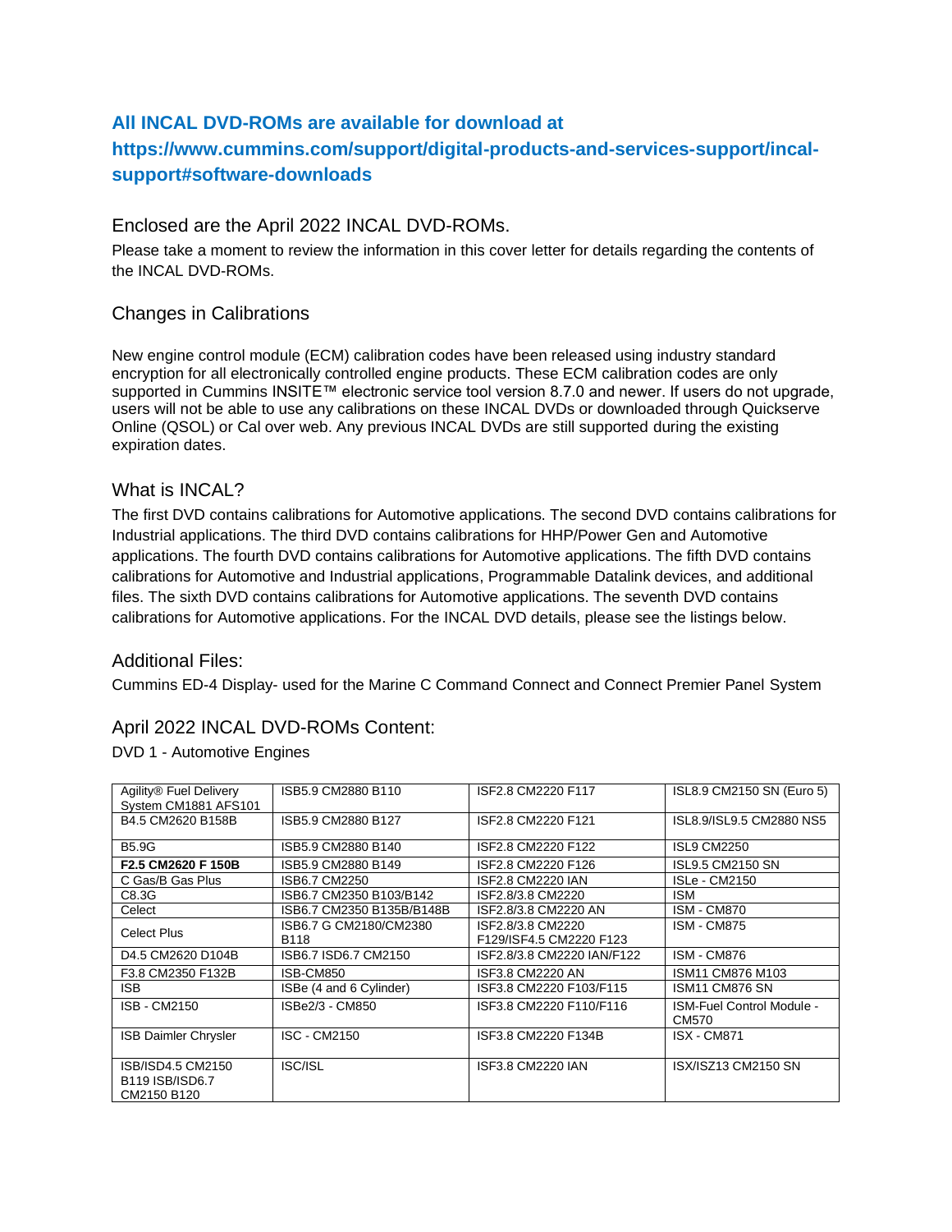## **All INCAL DVD-ROMs are available for download at**

# **https://www.cummins.com/support/digital-products-and-services-support/incalsupport#software-downloads**

### Enclosed are the April 2022 INCAL DVD-ROMs.

Please take a moment to review the information in this cover letter for details regarding the contents of the INCAL DVD-ROMs.

### Changes in Calibrations

New engine control module (ECM) calibration codes have been released using industry standard encryption for all electronically controlled engine products. These ECM calibration codes are only supported in Cummins INSITE™ electronic service tool version 8.7.0 and newer. If users do not upgrade, users will not be able to use any calibrations on these INCAL DVDs or downloaded through Quickserve Online (QSOL) or Cal over web. Any previous INCAL DVDs are still supported during the existing expiration dates.

#### What is INCAL?

The first DVD contains calibrations for Automotive applications. The second DVD contains calibrations for Industrial applications. The third DVD contains calibrations for HHP/Power Gen and Automotive applications. The fourth DVD contains calibrations for Automotive applications. The fifth DVD contains calibrations for Automotive and Industrial applications, Programmable Datalink devices, and additional files. The sixth DVD contains calibrations for Automotive applications. The seventh DVD contains calibrations for Automotive applications. For the INCAL DVD details, please see the listings below.

### Additional Files:

Cummins ED-4 Display- used for the Marine C Command Connect and Connect Premier Panel System

### April 2022 INCAL DVD-ROMs Content:

DVD 1 - Automotive Engines

| Agility® Fuel Delivery<br>System CM1881 AFS101      | ISB5.9 CM2880 B110             | ISF2.8 CM2220 F117                           | ISL8.9 CM2150 SN (Euro 5)                 |
|-----------------------------------------------------|--------------------------------|----------------------------------------------|-------------------------------------------|
| B4.5 CM2620 B158B                                   | ISB5.9 CM2880 B127             | ISF2.8 CM2220 F121                           | ISL8.9/ISL9.5 CM2880 NS5                  |
| <b>B5.9G</b>                                        | ISB5.9 CM2880 B140             | ISF2.8 CM2220 F122                           | <b>ISL9 CM2250</b>                        |
| F2.5 CM2620 F 150B                                  | ISB5.9 CM2880 B149             | ISF2.8 CM2220 F126                           | ISL9.5 CM2150 SN                          |
| C Gas/B Gas Plus                                    | ISB6.7 CM2250                  | <b>ISF2.8 CM2220 IAN</b>                     | <b>ISLe - CM2150</b>                      |
| C8.3G                                               | ISB6.7 CM2350 B103/B142        | ISF2.8/3.8 CM2220                            | <b>ISM</b>                                |
| Celect                                              | ISB6.7 CM2350 B135B/B148B      | ISF2.8/3.8 CM2220 AN                         | <b>ISM - CM870</b>                        |
| <b>Celect Plus</b>                                  | ISB6.7 G CM2180/CM2380<br>B118 | ISF2.8/3.8 CM2220<br>F129/ISF4.5 CM2220 F123 | <b>ISM - CM875</b>                        |
| D4.5 CM2620 D104B                                   | ISB6.7 ISD6.7 CM2150           | ISF2.8/3.8 CM2220 IAN/F122                   | <b>ISM - CM876</b>                        |
| F3.8 CM2350 F132B                                   | ISB-CM850                      | ISF3.8 CM2220 AN                             | ISM11 CM876 M103                          |
| ISB.                                                | ISBe (4 and 6 Cylinder)        | ISF3.8 CM2220 F103/F115                      | ISM11 CM876 SN                            |
| <b>ISB - CM2150</b>                                 | ISBe2/3 - CM850                | ISF3.8 CM2220 F110/F116                      | <b>ISM-Fuel Control Module -</b><br>CM570 |
| <b>ISB Daimler Chrysler</b>                         | <b>ISC - CM2150</b>            | ISF3.8 CM2220 F134B                          | <b>ISX - CM871</b>                        |
| ISB/ISD4.5 CM2150<br>B119 ISB/ISD6.7<br>CM2150 B120 | ISC/ISL                        | <b>ISF3.8 CM2220 IAN</b>                     | ISX/ISZ13 CM2150 SN                       |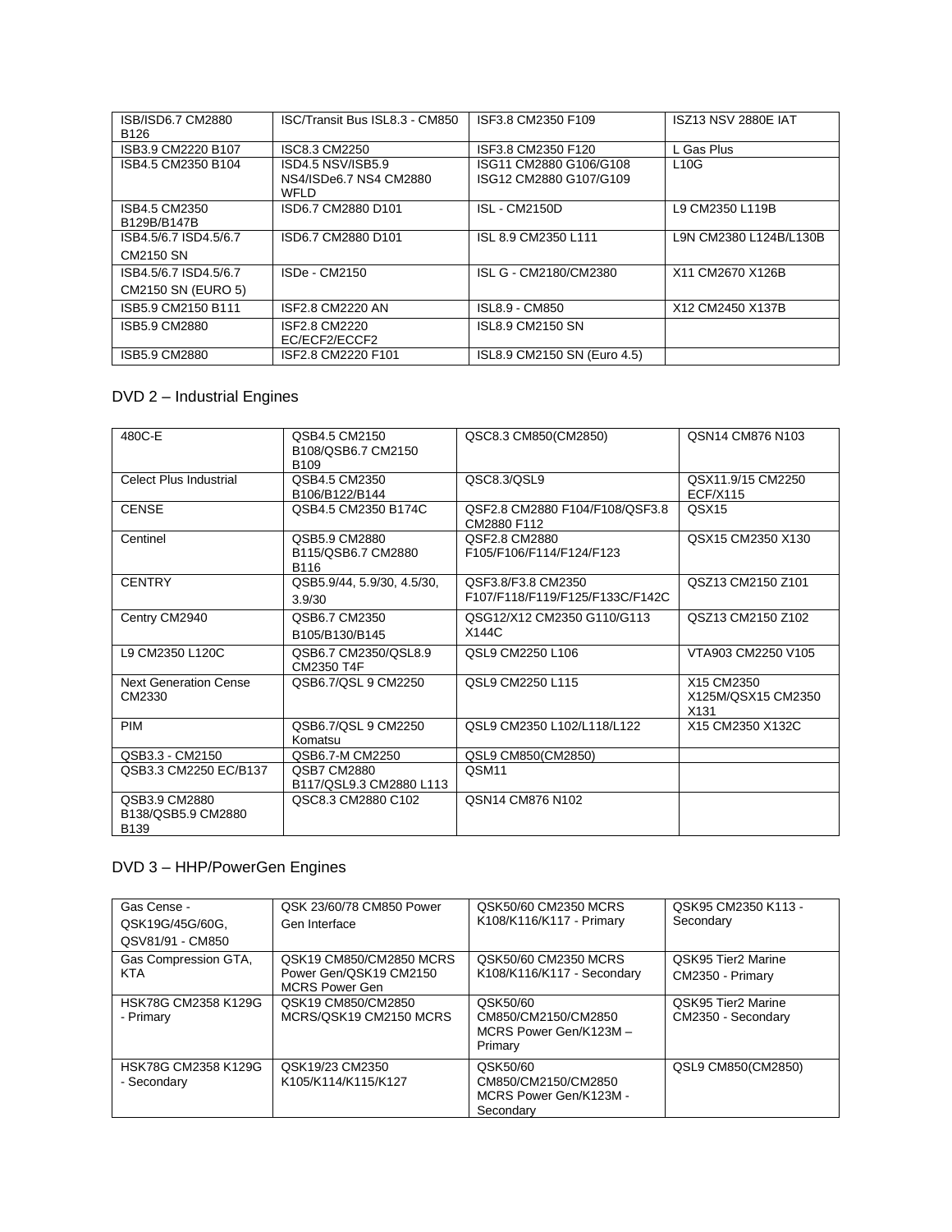| ISB/ISD6.7 CM2880<br>B <sub>126</sub> | ISC/Transit Bus ISL8.3 - CM850                      | ISF3.8 CM2350 F109                               | <b>ISZ13 NSV 2880E IAT</b> |
|---------------------------------------|-----------------------------------------------------|--------------------------------------------------|----------------------------|
| ISB3.9 CM2220 B107                    | ISC8.3 CM2250                                       | ISF3.8 CM2350 F120                               | L Gas Plus                 |
| ISB4.5 CM2350 B104                    | ISD4.5 NSV/ISB5.9<br>NS4/ISDe6.7 NS4 CM2880<br>WFLD | ISG11 CM2880 G106/G108<br>ISG12 CM2880 G107/G109 | L10G                       |
| ISB4.5 CM2350<br>B129B/B147B          | ISD6.7 CM2880 D101                                  | <b>ISL - CM2150D</b>                             | L9 CM2350 L119B            |
| ISB4.5/6.7 ISD4.5/6.7                 | ISD6.7 CM2880 D101                                  | ISL 8.9 CM2350 L111                              | L9N CM2380 L124B/L130B     |
| CM2150 SN                             |                                                     |                                                  |                            |
| ISB4.5/6.7 ISD4.5/6.7                 | ISDe - CM2150                                       | ISL G - CM2180/CM2380                            | X11 CM2670 X126B           |
| CM2150 SN (EURO 5)                    |                                                     |                                                  |                            |
| ISB5.9 CM2150 B111                    | ISF2.8 CM2220 AN                                    | ISL8.9 - CM850                                   | X12 CM2450 X137B           |
| ISB5.9 CM2880                         | ISF2.8 CM2220<br>EC/ECF2/ECCF2                      | <b>ISL8.9 CM2150 SN</b>                          |                            |
| ISB5.9 CM2880                         | ISF2.8 CM2220 F101                                  | ISL8.9 CM2150 SN (Euro 4.5)                      |                            |

# DVD 2 – Industrial Engines

| 480C-E                                             | QSB4.5 CM2150<br>B108/QSB6.7 CM2150<br>B <sub>109</sub> | QSC8.3 CM850(CM2850)                                  | QSN14 CM876 N103                                     |
|----------------------------------------------------|---------------------------------------------------------|-------------------------------------------------------|------------------------------------------------------|
| Celect Plus Industrial                             | QSB4.5 CM2350<br>B106/B122/B144                         | QSC8.3/QSL9                                           | QSX11.9/15 CM2250<br><b>ECF/X115</b>                 |
| <b>CENSE</b>                                       | QSB4.5 CM2350 B174C                                     | QSF2.8 CM2880 F104/F108/QSF3.8<br>CM2880 F112         | QSX <sub>15</sub>                                    |
| Centinel                                           | QSB5.9 CM2880<br>B115/QSB6.7 CM2880<br>B116             | QSF2.8 CM2880<br>F105/F106/F114/F124/F123             | QSX15 CM2350 X130                                    |
| <b>CENTRY</b>                                      | QSB5.9/44, 5.9/30, 4.5/30,<br>3.9/30                    | QSF3.8/F3.8 CM2350<br>F107/F118/F119/F125/F133C/F142C | QSZ13 CM2150 Z101                                    |
| Centry CM2940                                      | QSB6.7 CM2350<br>B105/B130/B145                         | QSG12/X12 CM2350 G110/G113<br>X144C                   | QSZ13 CM2150 Z102                                    |
| L9 CM2350 L120C                                    | QSB6.7 CM2350/QSL8.9<br>CM2350 T4F                      | QSL9 CM2250 L106                                      | VTA903 CM2250 V105                                   |
| <b>Next Generation Cense</b><br>CM2330             | QSB6.7/QSL 9 CM2250                                     | QSL9 CM2250 L115                                      | X15 CM2350<br>X125M/QSX15 CM2350<br>X <sub>131</sub> |
| <b>PIM</b>                                         | QSB6.7/QSL 9 CM2250<br>Komatsu                          | QSL9 CM2350 L102/L118/L122                            | X15 CM2350 X132C                                     |
| QSB3.3 - CM2150                                    | QSB6.7-M CM2250                                         | QSL9 CM850(CM2850)                                    |                                                      |
| QSB3.3 CM2250 EC/B137                              | <b>QSB7 CM2880</b><br>B117/QSL9.3 CM2880 L113           | QSM11                                                 |                                                      |
| QSB3.9 CM2880<br>B138/QSB5.9 CM2880<br><b>B139</b> | QSC8.3 CM2880 C102                                      | <b>QSN14 CM876 N102</b>                               |                                                      |

# DVD 3 – HHP/PowerGen Engines

| Gas Cense -<br>QSK19G/45G/60G.<br>QSV81/91 - CM850 | QSK 23/60/78 CM850 Power<br>Gen Interface                                  | QSK50/60 CM2350 MCRS<br>K108/K116/K117 - Primary                       | QSK95 CM2350 K113 -<br>Secondary         |
|----------------------------------------------------|----------------------------------------------------------------------------|------------------------------------------------------------------------|------------------------------------------|
| Gas Compression GTA,<br><b>KTA</b>                 | QSK19 CM850/CM2850 MCRS<br>Power Gen/QSK19 CM2150<br><b>MCRS Power Gen</b> | QSK50/60 CM2350 MCRS<br>K108/K116/K117 - Secondary                     | QSK95 Tier2 Marine<br>CM2350 - Primary   |
| HSK78G CM2358 K129G<br>- Primary                   | QSK19 CM850/CM2850<br>MCRS/QSK19 CM2150 MCRS                               | QSK50/60<br>CM850/CM2150/CM2850<br>MCRS Power Gen/K123M-<br>Primary    | QSK95 Tier2 Marine<br>CM2350 - Secondary |
| HSK78G CM2358 K129G<br>- Secondary                 | QSK19/23 CM2350<br>K105/K114/K115/K127                                     | QSK50/60<br>CM850/CM2150/CM2850<br>MCRS Power Gen/K123M -<br>Secondary | QSL9 CM850(CM2850)                       |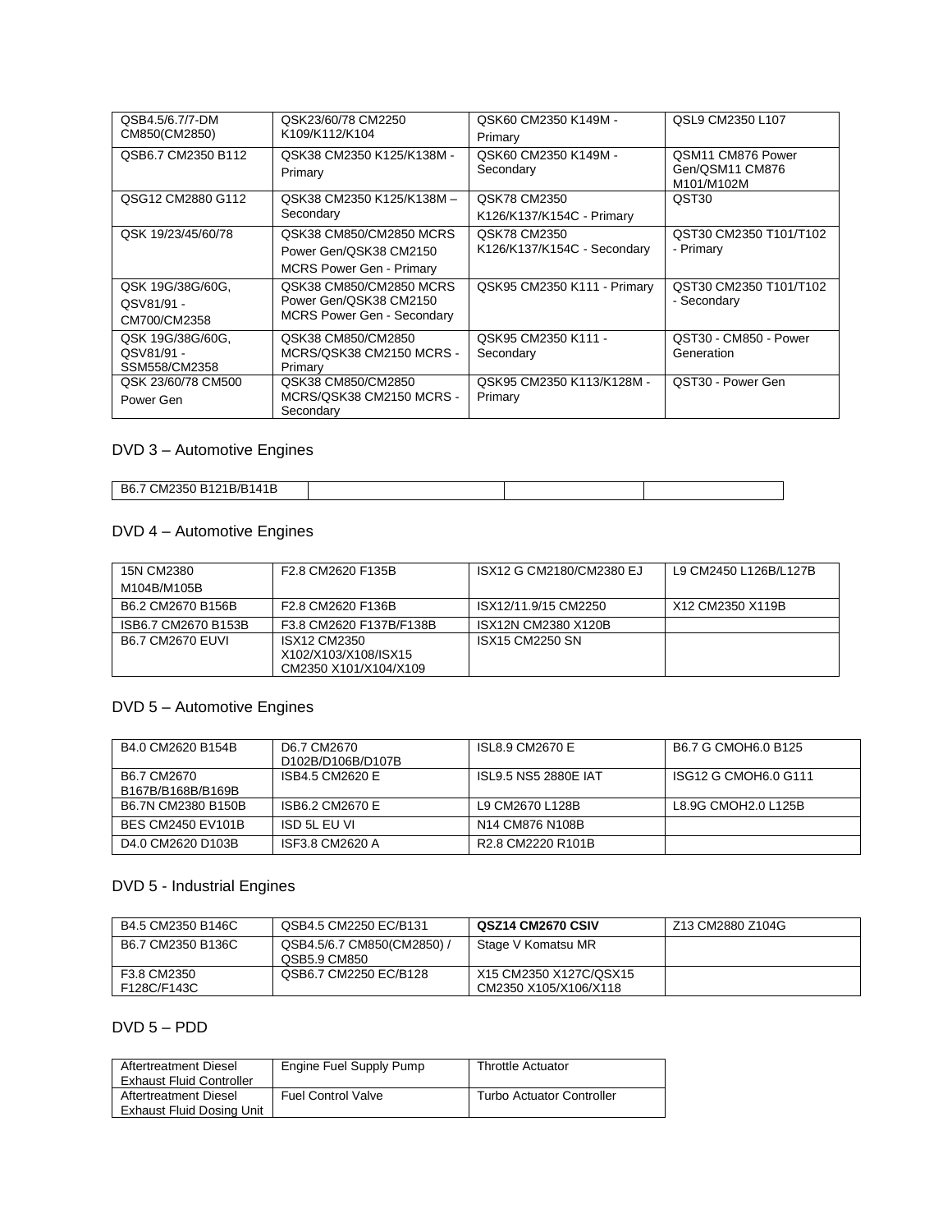| QSB4.5/6.7/7-DM<br>CM850(CM2850)                | QSK23/60/78 CM2250<br>K109/K112/K104                                                   | QSK60 CM2350 K149M -<br>Primary             | QSL9 CM2350 L107                                   |
|-------------------------------------------------|----------------------------------------------------------------------------------------|---------------------------------------------|----------------------------------------------------|
| QSB6.7 CM2350 B112                              | QSK38 CM2350 K125/K138M -<br>Primary                                                   | QSK60 CM2350 K149M -<br>Secondary           | QSM11 CM876 Power<br>Gen/QSM11 CM876<br>M101/M102M |
| QSG12 CM2880 G112                               | QSK38 CM2350 K125/K138M-<br>Secondary                                                  | QSK78 CM2350<br>K126/K137/K154C - Primary   | QST30                                              |
| QSK 19/23/45/60/78                              | QSK38 CM850/CM2850 MCRS<br>Power Gen/QSK38 CM2150<br><b>MCRS Power Gen - Primary</b>   | QSK78 CM2350<br>K126/K137/K154C - Secondary | QST30 CM2350 T101/T102<br>- Primary                |
| QSK 19G/38G/60G,<br>QSV81/91 -<br>CM700/CM2358  | QSK38 CM850/CM2850 MCRS<br>Power Gen/QSK38 CM2150<br><b>MCRS Power Gen - Secondary</b> | QSK95 CM2350 K111 - Primary                 | QST30 CM2350 T101/T102<br>- Secondary              |
| QSK 19G/38G/60G,<br>QSV81/91 -<br>SSM558/CM2358 | QSK38 CM850/CM2850<br>MCRS/QSK38 CM2150 MCRS -<br>Primary                              | QSK95 CM2350 K111 -<br>Secondary            | QST30 - CM850 - Power<br>Generation                |
| QSK 23/60/78 CM500<br>Power Gen                 | QSK38 CM850/CM2850<br>MCRS/QSK38 CM2150 MCRS -<br>Secondary                            | QSK95 CM2350 K113/K128M -<br>Primary        | QST30 - Power Gen                                  |

## DVD 3 – Automotive Engines

| <sup>7</sup> CM2350 B121b.<br>B6.7<br>B/B1<br>∶41،<br>. |  |  |
|---------------------------------------------------------|--|--|

## DVD 4 – Automotive Engines

| 15N CM2380<br>M104B/M105B | F2.8 CM2620 F135B                                             | ISX12 G CM2180/CM2380 EJ | L9 CM2450 L126B/L127B |
|---------------------------|---------------------------------------------------------------|--------------------------|-----------------------|
| B6.2 CM2670 B156B         | F2.8 CM2620 F136B                                             | ISX12/11.9/15 CM2250     | X12 CM2350 X119B      |
| ISB6.7 CM2670 B153B       | F3.8 CM2620 F137B/F138B                                       | ISX12N CM2380 X120B      |                       |
| <b>B6.7 CM2670 FUVL</b>   | ISX12 CM2350<br>X102/X103/X108/ISX15<br>CM2350 X101/X104/X109 | <b>ISX15 CM2250 SN</b>   |                       |

## DVD 5 – Automotive Engines

| B4.0 CM2620 B154B                | D6.7 CM2670<br>D102B/D106B/D107B | ISL8.9 CM2670 E                                         | B6.7 G CMOH6.0 B125  |
|----------------------------------|----------------------------------|---------------------------------------------------------|----------------------|
| B6.7 CM2670<br>B167B/B168B/B169B | ISB4.5 CM2620 E                  | ISL9.5 NS5 2880E IAT                                    | ISG12 G CMOH6.0 G111 |
| B6.7N CM2380 B150B               | ISB6.2 CM2670 E                  | L9 CM2670 L128B                                         | L8.9G CMOH2.0 L125B  |
| BES CM2450 EV101B                | ISD 5L EU VI                     | N <sub>14</sub> CM <sub>876</sub> N <sub>108</sub> B    |                      |
| D4.0 CM2620 D103B                | ISF3.8 CM2620 A                  | R <sub>2</sub> .8 CM <sub>2220</sub> R <sub>101</sub> B |                      |

## DVD 5 - Industrial Engines

| B4.5 CM2350 B146C          | QSB4.5 CM2250 EC/B131                    | QSZ14 CM2670 CSIV                               | Z13 CM2880 Z104G |
|----------------------------|------------------------------------------|-------------------------------------------------|------------------|
| B6.7 CM2350 B136C          | QSB4.5/6.7 CM850(CM2850)<br>QSB5.9 CM850 | Stage V Komatsu MR                              |                  |
| F3.8 CM2350<br>F128C/F143C | QSB6.7 CM2250 EC/B128                    | X15 CM2350 X127C/QSX15<br>CM2350 X105/X106/X118 |                  |

## DVD 5 – PDD

| Aftertreatment Diesel<br><b>Exhaust Fluid Controller</b> | Engine Fuel Supply Pump   | <b>Throttle Actuator</b>         |
|----------------------------------------------------------|---------------------------|----------------------------------|
| Aftertreatment Diesel<br>Exhaust Fluid Dosing Unit       | <b>Fuel Control Valve</b> | <b>Turbo Actuator Controller</b> |